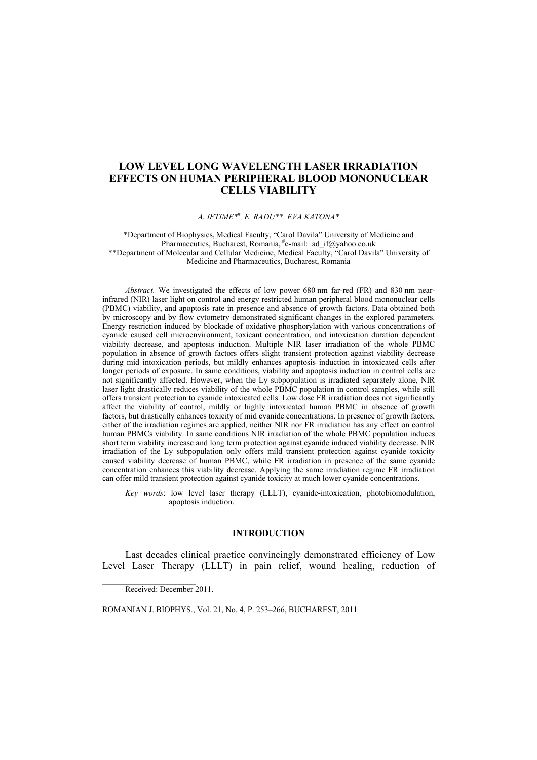# **LOW LEVEL LONG WAVELENGTH LASER IRRADIATION EFFECTS ON HUMAN PERIPHERAL BLOOD MONONUCLEAR CELLS VIABILITY**

*A. IFTIME\**# *, E. RADU\*\*, EVA KATONA\** 

\*Department of Biophysics, Medical Faculty, "Carol Davila" University of Medicine and Pharmaceutics, Bucharest, Romania, #e-mail: ad if@yahoo.co.uk \*\*Department of Molecular and Cellular Medicine, Medical Faculty, "Carol Davila" University of Medicine and Pharmaceutics, Bucharest, Romania

*Abstract.* We investigated the effects of low power 680 nm far-red (FR) and 830 nm nearinfrared (NIR) laser light on control and energy restricted human peripheral blood mononuclear cells (PBMC) viability, and apoptosis rate in presence and absence of growth factors. Data obtained both by microscopy and by flow cytometry demonstrated significant changes in the explored parameters. Energy restriction induced by blockade of oxidative phosphorylation with various concentrations of cyanide caused cell microenvironment, toxicant concentration, and intoxication duration dependent viability decrease, and apoptosis induction. Multiple NIR laser irradiation of the whole PBMC population in absence of growth factors offers slight transient protection against viability decrease during mid intoxication periods, but mildly enhances apoptosis induction in intoxicated cells after longer periods of exposure. In same conditions, viability and apoptosis induction in control cells are not significantly affected. However, when the Ly subpopulation is irradiated separately alone, NIR laser light drastically reduces viability of the whole PBMC population in control samples, while still offers transient protection to cyanide intoxicated cells. Low dose FR irradiation does not significantly affect the viability of control, mildly or highly intoxicated human PBMC in absence of growth factors, but drastically enhances toxicity of mid cyanide concentrations. In presence of growth factors, either of the irradiation regimes are applied, neither NIR nor FR irradiation has any effect on control human PBMCs viability. In same conditions NIR irradiation of the whole PBMC population induces short term viability increase and long term protection against cyanide induced viability decrease. NIR irradiation of the Ly subpopulation only offers mild transient protection against cyanide toxicity caused viability decrease of human PBMC, while FR irradiation in presence of the same cyanide concentration enhances this viability decrease. Applying the same irradiation regime FR irradiation can offer mild transient protection against cyanide toxicity at much lower cyanide concentrations.

*Key words*: low level laser therapy (LLLT), cyanide-intoxication, photobiomodulation, apoptosis induction.

## **INTRODUCTION**

Last decades clinical practice convincingly demonstrated efficiency of Low Level Laser Therapy (LLLT) in pain relief, wound healing, reduction of

Received: December 2011.

ROMANIAN J. BIOPHYS., Vol. 21, No. 4, P. 253–266, BUCHAREST, 2011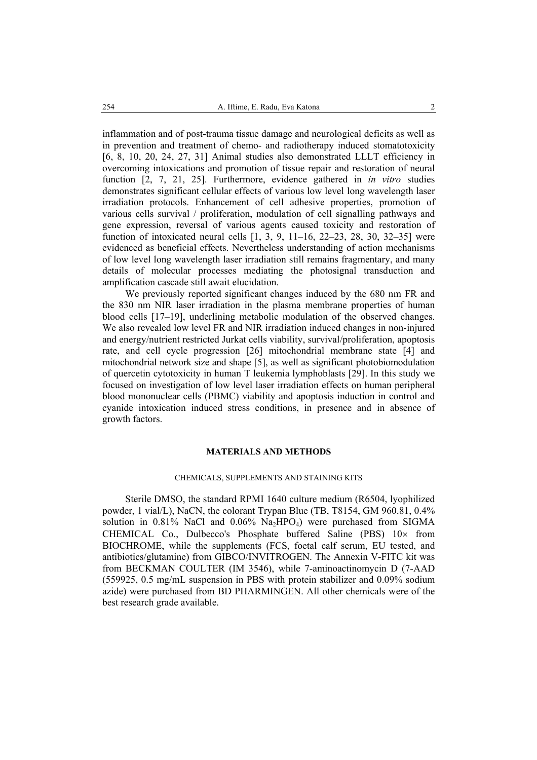inflammation and of post-trauma tissue damage and neurological deficits as well as in prevention and treatment of chemo- and radiotherapy induced stomatotoxicity [6, 8, 10, 20, 24, 27, 31] Animal studies also demonstrated LLLT efficiency in overcoming intoxications and promotion of tissue repair and restoration of neural function [2, 7, 21, 25]. Furthermore, evidence gathered in *in vitro* studies demonstrates significant cellular effects of various low level long wavelength laser irradiation protocols. Enhancement of cell adhesive properties, promotion of various cells survival / proliferation, modulation of cell signalling pathways and gene expression, reversal of various agents caused toxicity and restoration of function of intoxicated neural cells [1, 3, 9, 11–16, 22–23, 28, 30, 32–35] were evidenced as beneficial effects. Nevertheless understanding of action mechanisms of low level long wavelength laser irradiation still remains fragmentary, and many details of molecular processes mediating the photosignal transduction and amplification cascade still await elucidation.

We previously reported significant changes induced by the 680 nm FR and the 830 nm NIR laser irradiation in the plasma membrane properties of human blood cells [17–19], underlining metabolic modulation of the observed changes. We also revealed low level FR and NIR irradiation induced changes in non-injured and energy/nutrient restricted Jurkat cells viability, survival/proliferation, apoptosis rate, and cell cycle progression [26] mitochondrial membrane state [4] and mitochondrial network size and shape [5], as well as significant photobiomodulation of quercetin cytotoxicity in human T leukemia lymphoblasts [29]. In this study we focused on investigation of low level laser irradiation effects on human peripheral blood mononuclear cells (PBMC) viability and apoptosis induction in control and cyanide intoxication induced stress conditions, in presence and in absence of growth factors.

# **MATERIALS AND METHODS**

#### CHEMICALS, SUPPLEMENTS AND STAINING KITS

Sterile DMSO, the standard RPMI 1640 culture medium (R6504, lyophilized powder, 1 vial/L), NaCN, the colorant Trypan Blue (TB, T8154, GM 960.81, 0.4% solution in  $0.81\%$  NaCl and  $0.06\%$  Na<sub>2</sub>HPO<sub>4</sub>) were purchased from SIGMA CHEMICAL Co., Dulbecco's Phosphate buffered Saline (PBS)  $10\times$  from BIOCHROME, while the supplements (FCS, foetal calf serum, EU tested, and antibiotics/glutamine) from GIBCO/INVITROGEN. The Annexin V-FITC kit was from BECKMAN COULTER (IM 3546), while 7-aminoactinomycin D (7-AAD (559925, 0.5 mg/mL suspension in PBS with protein stabilizer and 0.09% sodium azide) were purchased from BD PHARMINGEN. All other chemicals were of the best research grade available.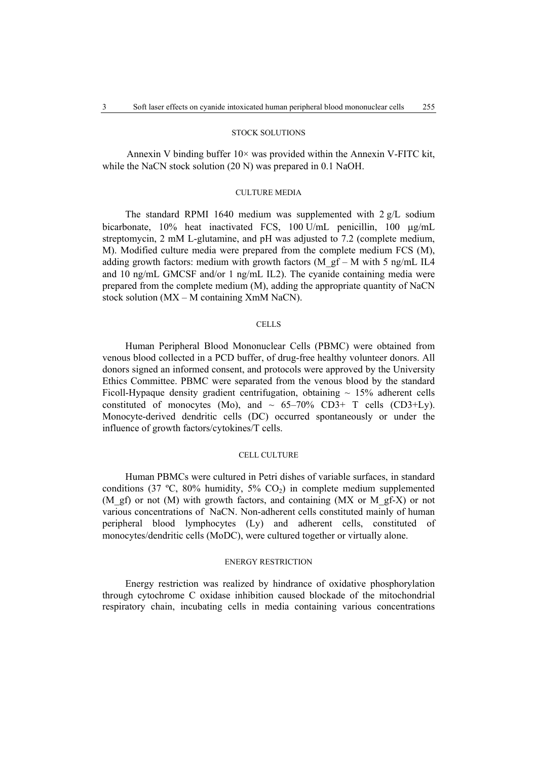## STOCK SOLUTIONS

Annexin V binding buffer  $10\times$  was provided within the Annexin V-FITC kit, while the NaCN stock solution (20 N) was prepared in 0.1 NaOH.

## CULTURE MEDIA

The standard RPMI 1640 medium was supplemented with 2 g/L sodium bicarbonate, 10% heat inactivated FCS, 100 U/mL penicillin, 100 µg/mL streptomycin, 2 mM L-glutamine, and pH was adjusted to 7.2 (complete medium, M). Modified culture media were prepared from the complete medium FCS (M), adding growth factors: medium with growth factors (M\_gf – M with 5 ng/mL IL4 and 10 ng/mL GMCSF and/or 1 ng/mL IL2). The cyanide containing media were prepared from the complete medium (M), adding the appropriate quantity of NaCN stock solution (MX – M containing XmM NaCN).

## **CELLS**

Human Peripheral Blood Mononuclear Cells (PBMC) were obtained from venous blood collected in a PCD buffer, of drug-free healthy volunteer donors. All donors signed an informed consent, and protocols were approved by the University Ethics Committee. PBMC were separated from the venous blood by the standard Ficoll-Hypaque density gradient centrifugation, obtaining  $\sim 15\%$  adherent cells constituted of monocytes (Mo), and  $\sim 65-70\%$  CD3+ T cells (CD3+Ly). Monocyte-derived dendritic cells (DC) occurred spontaneously or under the influence of growth factors/cytokines/T cells.

#### CELL CULTURE

Human PBMCs were cultured in Petri dishes of variable surfaces, in standard conditions (37 °C, 80% humidity, 5%  $CO<sub>2</sub>$ ) in complete medium supplemented (M\_gf) or not (M) with growth factors, and containing (MX or M\_gf-X) or not various concentrations of NaCN. Non-adherent cells constituted mainly of human peripheral blood lymphocytes (Ly) and adherent cells, constituted of monocytes/dendritic cells (MoDC), were cultured together or virtually alone.

## ENERGY RESTRICTION

Energy restriction was realized by hindrance of oxidative phosphorylation through cytochrome C oxidase inhibition caused blockade of the mitochondrial respiratory chain, incubating cells in media containing various concentrations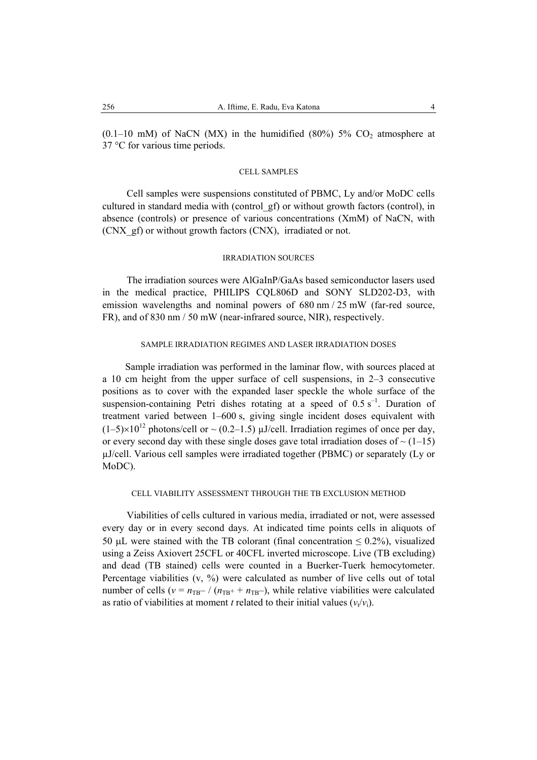$(0.1-10$  mM) of NaCN (MX) in the humidified  $(80\%)$  5% CO<sub>2</sub> atmosphere at 37 °C for various time periods.

## CELL SAMPLES

Cell samples were suspensions constituted of PBMC, Ly and/or MoDC cells cultured in standard media with (control\_gf) or without growth factors (control), in absence (controls) or presence of various concentrations (XmM) of NaCN, with (CNX\_gf) or without growth factors (CNX), irradiated or not.

#### IRRADIATION SOURCES

The irradiation sources were AlGaInP/GaAs based semiconductor lasers used in the medical practice, PHILIPS CQL806D and SONY SLD202-D3, with emission wavelengths and nominal powers of 680 nm / 25 mW (far-red source, FR), and of 830 nm / 50 mW (near-infrared source, NIR), respectively.

## SAMPLE IRRADIATION REGIMES AND LASER IRRADIATION DOSES

Sample irradiation was performed in the laminar flow, with sources placed at a 10 cm height from the upper surface of cell suspensions, in 2–3 consecutive positions as to cover with the expanded laser speckle the whole surface of the suspension-containing Petri dishes rotating at a speed of  $0.5 \text{ s}^{-1}$ . Duration of treatment varied between 1–600 s, giving single incident doses equivalent with  $(1-5)\times10^{12}$  photons/cell or  $\sim$  (0.2–1.5)  $\mu$ J/cell. Irradiation regimes of once per day, or every second day with these single doses gave total irradiation doses of  $\sim$  (1–15) µJ/cell. Various cell samples were irradiated together (PBMC) or separately (Ly or MoDC).

# CELL VIABILITY ASSESSMENT THROUGH THE TB EXCLUSION METHOD

Viabilities of cells cultured in various media, irradiated or not, were assessed every day or in every second days. At indicated time points cells in aliquots of 50 µL were stained with the TB colorant (final concentration  $\leq$  0.2%), visualized using a Zeiss Axiovert 25CFL or 40CFL inverted microscope. Live (TB excluding) and dead (TB stained) cells were counted in a Buerker-Tuerk hemocytometer. Percentage viabilities (v, %) were calculated as number of live cells out of total number of cells ( $v = n_{\text{TB}} - / (n_{\text{TB}} + n_{\text{TB}})$ , while relative viabilities were calculated as ratio of viabilities at moment *t* related to their initial values  $(v_t/v_i)$ .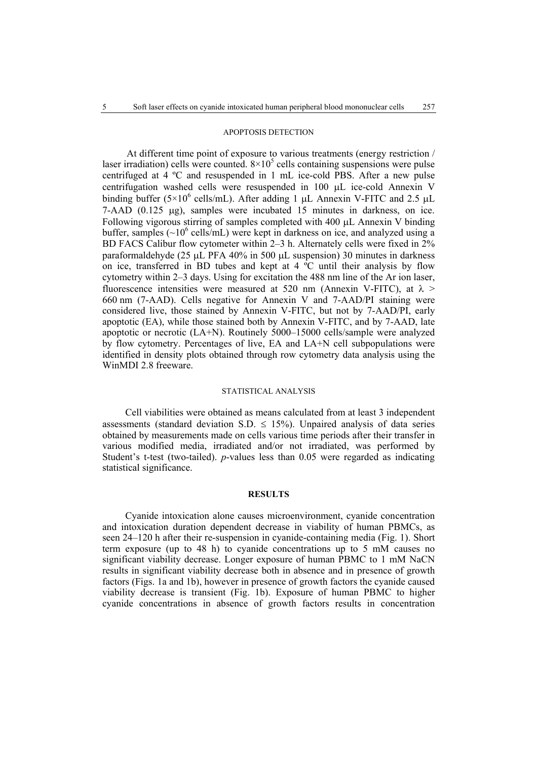#### APOPTOSIS DETECTION

At different time point of exposure to various treatments (energy restriction / laser irradiation) cells were counted.  $8 \times 10^5$  cells containing suspensions were pulse centrifuged at 4 ºC and resuspended in 1 mL ice-cold PBS. After a new pulse centrifugation washed cells were resuspended in 100 µL ice-cold Annexin V binding buffer ( $5\times10^6$  cells/mL). After adding 1 µL Annexin V-FITC and 2.5 µL 7-AAD (0.125 µg), samples were incubated 15 minutes in darkness, on ice. Following vigorous stirring of samples completed with 400 µL Annexin V binding buffer, samples  $(\sim 10^6 \text{ cells/mL})$  were kept in darkness on ice, and analyzed using a BD FACS Calibur flow cytometer within 2–3 h. Alternately cells were fixed in 2% paraformaldehyde (25 µL PFA 40% in 500 µL suspension) 30 minutes in darkness on ice, transferred in BD tubes and kept at  $4 \degree C$  until their analysis by flow cytometry within 2–3 days. Using for excitation the 488 nm line of the Ar ion laser, fluorescence intensities were measured at 520 nm (Annexin V-FITC), at  $\lambda$  > 660 nm (7-AAD). Cells negative for Annexin V and 7-AAD/PI staining were considered live, those stained by Annexin V-FITC, but not by 7-AAD/PI, early apoptotic (EA), while those stained both by Annexin V-FITC, and by 7-AAD, late apoptotic or necrotic (LA+N). Routinely 5000–15000 cells/sample were analyzed by flow cytometry. Percentages of live, EA and LA+N cell subpopulations were identified in density plots obtained through row cytometry data analysis using the WinMDI 2.8 freeware.

# STATISTICAL ANALYSIS

Cell viabilities were obtained as means calculated from at least 3 independent assessments (standard deviation S.D.  $\leq$  15%). Unpaired analysis of data series obtained by measurements made on cells various time periods after their transfer in various modified media, irradiated and/or not irradiated, was performed by Student's t-test (two-tailed). *p*-values less than 0.05 were regarded as indicating statistical significance.

#### **RESULTS**

Cyanide intoxication alone causes microenvironment, cyanide concentration and intoxication duration dependent decrease in viability of human PBMCs, as seen 24–120 h after their re-suspension in cyanide-containing media (Fig. 1). Short term exposure (up to 48 h) to cyanide concentrations up to 5 mM causes no significant viability decrease. Longer exposure of human PBMC to 1 mM NaCN results in significant viability decrease both in absence and in presence of growth factors (Figs. 1a and 1b), however in presence of growth factors the cyanide caused viability decrease is transient (Fig. 1b). Exposure of human PBMC to higher cyanide concentrations in absence of growth factors results in concentration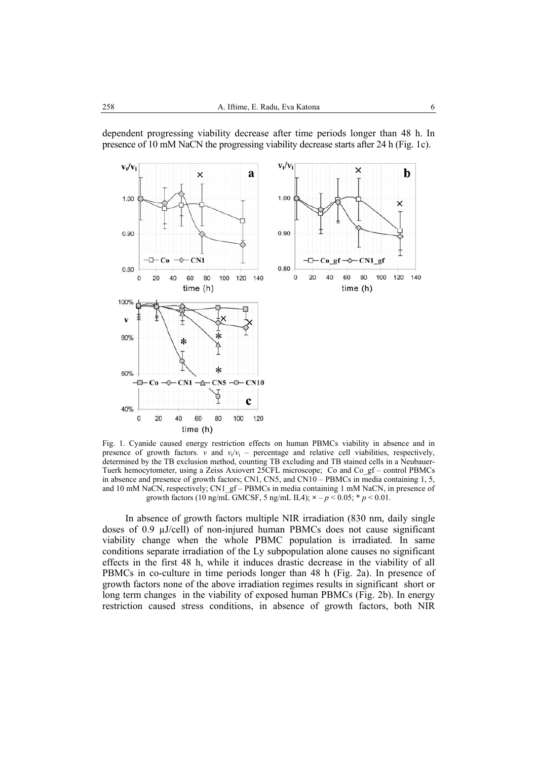

dependent progressing viability decrease after time periods longer than 48 h. In presence of 10 mM NaCN the progressing viability decrease starts after 24 h (Fig. 1c).

Fig. 1. Cyanide caused energy restriction effects on human PBMCs viability in absence and in presence of growth factors. *v* and  $v_t/v_i$  – percentage and relative cell viabilities, respectively, determined by the TB exclusion method, counting TB excluding and TB stained cells in a Neubauer-Tuerk hemocytometer, using a Zeiss Axiovert 25CFL microscope; Co and Co\_gf – control PBMCs in absence and presence of growth factors; CN1, CN5, and CN10 – PBMCs in media containing 1, 5, and 10 mM NaCN, respectively; CN1\_gf – PBMCs in media containing 1 mM NaCN, in presence of growth factors (10 ng/mL GMCSF, 5 ng/mL IL4);  $\times -p < 0.05$ ;  $\ast p < 0.01$ .

In absence of growth factors multiple NIR irradiation (830 nm, daily single doses of 0.9 µJ/cell) of non-injured human PBMCs does not cause significant viability change when the whole PBMC population is irradiated. In same conditions separate irradiation of the Ly subpopulation alone causes no significant effects in the first 48 h, while it induces drastic decrease in the viability of all PBMCs in co-culture in time periods longer than 48 h (Fig. 2a). In presence of growth factors none of the above irradiation regimes results in significant short or long term changes in the viability of exposed human PBMCs (Fig. 2b). In energy restriction caused stress conditions, in absence of growth factors, both NIR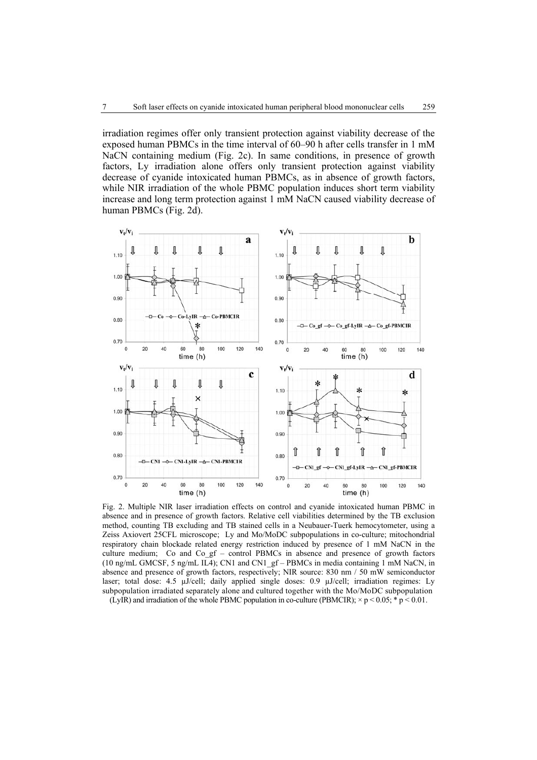irradiation regimes offer only transient protection against viability decrease of the exposed human PBMCs in the time interval of 60–90 h after cells transfer in 1 mM NaCN containing medium (Fig. 2c). In same conditions, in presence of growth factors, Ly irradiation alone offers only transient protection against viability decrease of cyanide intoxicated human PBMCs, as in absence of growth factors, while NIR irradiation of the whole PBMC population induces short term viability increase and long term protection against 1 mM NaCN caused viability decrease of human PBMCs (Fig. 2d).



Fig. 2. Multiple NIR laser irradiation effects on control and cyanide intoxicated human PBMC in absence and in presence of growth factors. Relative cell viabilities determined by the TB exclusion method, counting TB excluding and TB stained cells in a Neubauer-Tuerk hemocytometer, using a Zeiss Axiovert 25CFL microscope; Ly and Mo/MoDC subpopulations in co-culture; mitochondrial respiratory chain blockade related energy restriction induced by presence of 1 mM NaCN in the culture medium; Co and Co  $gf$  – control PBMCs in absence and presence of growth factors (10 ng/mL GMCSF, 5 ng/mL IL4); CN1 and CN1\_gf – PBMCs in media containing 1 mM NaCN, in absence and presence of growth factors, respectively; NIR source: 830 nm / 50 mW semiconductor laser; total dose: 4.5 µJ/cell; daily applied single doses: 0.9 µJ/cell; irradiation regimes: Ly subpopulation irradiated separately alone and cultured together with the Mo/MoDC subpopulation

(LyIR) and irradiation of the whole PBMC population in co-culture (PBMCIR);  $\times p < 0.05$ ; \* p < 0.01.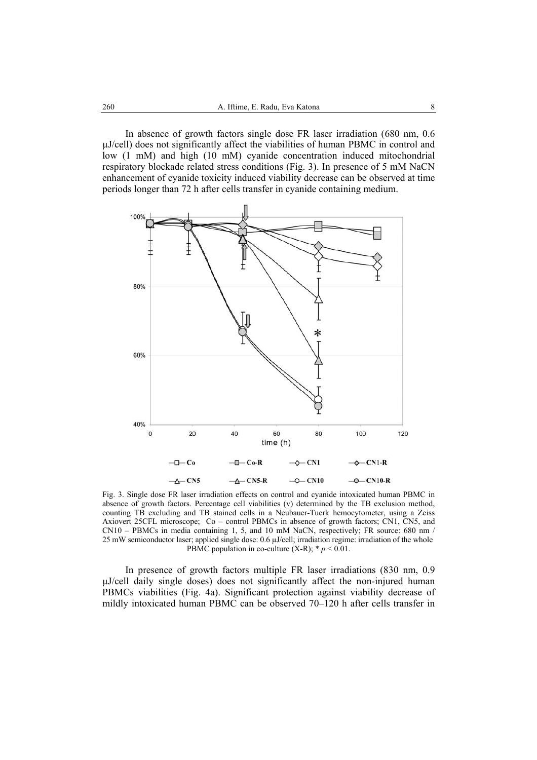In absence of growth factors single dose FR laser irradiation (680 nm, 0.6 µJ/cell) does not significantly affect the viabilities of human PBMC in control and low (1 mM) and high (10 mM) cyanide concentration induced mitochondrial respiratory blockade related stress conditions (Fig. 3). In presence of 5 mM NaCN enhancement of cyanide toxicity induced viability decrease can be observed at time periods longer than 72 h after cells transfer in cyanide containing medium.



Fig. 3. Single dose FR laser irradiation effects on control and cyanide intoxicated human PBMC in absence of growth factors. Percentage cell viabilities (v) determined by the TB exclusion method, counting TB excluding and TB stained cells in a Neubauer-Tuerk hemocytometer, using a Zeiss Axiovert 25CFL microscope; Co – control PBMCs in absence of growth factors; CN1, CN5, and  $CN10 - PBMCs$  in media containing 1, 5, and 10 mM NaCN, respectively; FR source: 680 nm / 25 mW semiconductor laser; applied single dose: 0.6 µJ/cell; irradiation regime: irradiation of the whole PBMC population in co-culture  $(X-R)$ ;  $* p < 0.01$ .

In presence of growth factors multiple FR laser irradiations (830 nm, 0.9 µJ/cell daily single doses) does not significantly affect the non-injured human PBMCs viabilities (Fig. 4a). Significant protection against viability decrease of mildly intoxicated human PBMC can be observed 70–120 h after cells transfer in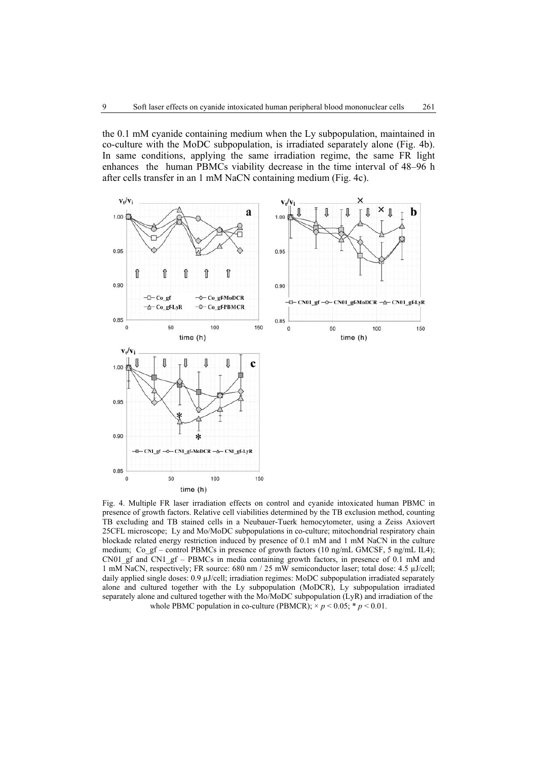the 0.1 mM cyanide containing medium when the Ly subpopulation, maintained in co-culture with the MoDC subpopulation, is irradiated separately alone (Fig. 4b). In same conditions, applying the same irradiation regime, the same FR light enhances the human PBMCs viability decrease in the time interval of 48–96 h after cells transfer in an 1 mM NaCN containing medium (Fig. 4c).



Fig. 4. Multiple FR laser irradiation effects on control and cyanide intoxicated human PBMC in presence of growth factors. Relative cell viabilities determined by the TB exclusion method, counting TB excluding and TB stained cells in a Neubauer-Tuerk hemocytometer, using a Zeiss Axiovert 25CFL microscope; Ly and Mo/MoDC subpopulations in co-culture; mitochondrial respiratory chain blockade related energy restriction induced by presence of 0.1 mM and 1 mM NaCN in the culture medium; Co\_gf – control PBMCs in presence of growth factors (10 ng/mL GMCSF, 5 ng/mL IL4); CN01 gf and CN1 gf – PBMCs in media containing growth factors, in presence of 0.1 mM and 1 mM NaCN, respectively; FR source: 680 nm / 25 mW semiconductor laser; total dose: 4.5 µJ/cell; daily applied single doses: 0.9 µJ/cell; irradiation regimes: MoDC subpopulation irradiated separately alone and cultured together with the Ly subpopulation (MoDCR), Ly subpopulation irradiated separately alone and cultured together with the Mo/MoDC subpopulation (LyR) and irradiation of the whole PBMC population in co-culture (PBMCR);  $\times p < 0.05$ ;  $\times p < 0.01$ .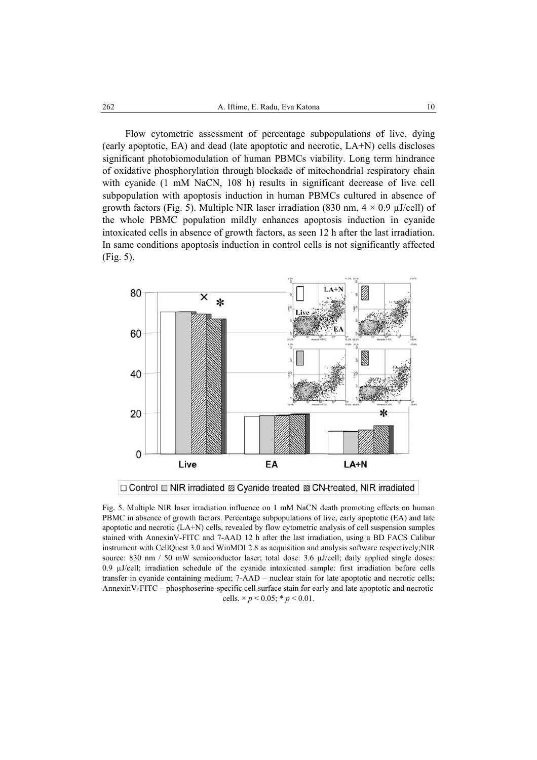Flow cytometric assessment of percentage subpopulations of live, dying (early apoptotic, EA) and dead (late apoptotic and necrotic, LA+N) cells discloses significant photobiomodulation of human PBMCs viability. Long term hindrance of oxidative phosphorylation through blockade of mitochondrial respiratory chain with cyanide (1 mM NaCN, 108 h) results in significant decrease of live cell subpopulation with apoptosis induction in human PBMCs cultured in absence of growth factors (Fig. 5). Multiple NIR laser irradiation (830 nm,  $4 \times 0.9$  µJ/cell) of the whole PBMC population mildly enhances apoptosis induction in cyanide intoxicated cells in absence of growth factors, as seen 12 h after the last irradiation. In same conditions apoptosis induction in control cells is not significantly affected (Fig. 5).



Fig. 5. Multiple NIR laser irradiation influence on 1 mM NaCN death promoting effects on human PBMC in absence of growth factors. Percentage subpopulations of live, early apoptotic (EA) and late apoptotic and necrotic (LA+N) cells, revealed by flow cytometric analysis of cell suspension samples stained with AnnexinV-FITC and 7-AAD 12 h after the last irradiation, using a BD FACS Calibur instrument with CellQuest 3.0 and WinMDI 2.8 as acquisition and analysis software respectively;NIR source: 830 nm / 50 mW semiconductor laser; total dose: 3.6 µJ/cell; daily applied single doses: 0.9 µJ/cell; irradiation schedule of the cyanide intoxicated sample: first irradiation before cells transfer in cyanide containing medium; 7-AAD – nuclear stain for late apoptotic and necrotic cells; AnnexinV-FITC – phosphoserine-specific cell surface stain for early and late apoptotic and necrotic cells.  $\times p < 0.05$ ;  $\ast p < 0.01$ .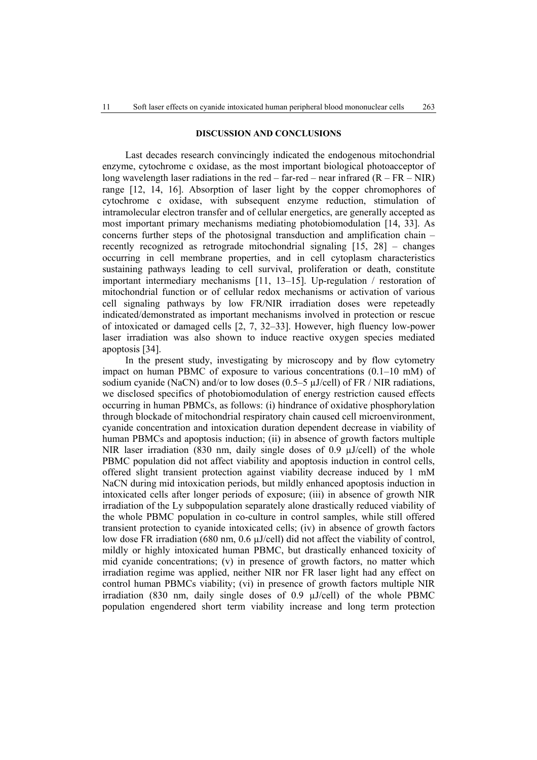## **DISCUSSION AND CONCLUSIONS**

Last decades research convincingly indicated the endogenous mitochondrial enzyme, cytochrome c oxidase, as the most important biological photoacceptor of long wavelength laser radiations in the red – far-red – near infrared  $(R - FR - NIR)$ range [12, 14, 16]. Absorption of laser light by the copper chromophores of cytochrome c oxidase, with subsequent enzyme reduction, stimulation of intramolecular electron transfer and of cellular energetics, are generally accepted as most important primary mechanisms mediating photobiomodulation [14, 33]. As concerns further steps of the photosignal transduction and amplification chain – recently recognized as retrograde mitochondrial signaling [15, 28] – changes occurring in cell membrane properties, and in cell cytoplasm characteristics sustaining pathways leading to cell survival, proliferation or death, constitute important intermediary mechanisms [11, 13–15]. Up-regulation / restoration of mitochondrial function or of cellular redox mechanisms or activation of various cell signaling pathways by low FR/NIR irradiation doses were repeteadly indicated/demonstrated as important mechanisms involved in protection or rescue of intoxicated or damaged cells [2, 7, 32–33]. However, high fluency low-power laser irradiation was also shown to induce reactive oxygen species mediated apoptosis [34].

In the present study, investigating by microscopy and by flow cytometry impact on human PBMC of exposure to various concentrations (0.1–10 mM) of sodium cyanide (NaCN) and/or to low doses (0.5–5 µJ/cell) of FR / NIR radiations, we disclosed specifics of photobiomodulation of energy restriction caused effects occurring in human PBMCs, as follows: (i) hindrance of oxidative phosphorylation through blockade of mitochondrial respiratory chain caused cell microenvironment, cyanide concentration and intoxication duration dependent decrease in viability of human PBMCs and apoptosis induction; (ii) in absence of growth factors multiple NIR laser irradiation  $(830 \text{ nm}, \text{ daily single doses of } 0.9 \text{ µJ/cell})$  of the whole PBMC population did not affect viability and apoptosis induction in control cells, offered slight transient protection against viability decrease induced by 1 mM NaCN during mid intoxication periods, but mildly enhanced apoptosis induction in intoxicated cells after longer periods of exposure; (iii) in absence of growth NIR irradiation of the Ly subpopulation separately alone drastically reduced viability of the whole PBMC population in co-culture in control samples, while still offered transient protection to cyanide intoxicated cells; (iv) in absence of growth factors low dose FR irradiation (680 nm, 0.6 µJ/cell) did not affect the viability of control, mildly or highly intoxicated human PBMC, but drastically enhanced toxicity of mid cyanide concentrations; (v) in presence of growth factors, no matter which irradiation regime was applied, neither NIR nor FR laser light had any effect on control human PBMCs viability; (vi) in presence of growth factors multiple NIR irradiation (830 nm, daily single doses of 0.9 µJ/cell) of the whole PBMC population engendered short term viability increase and long term protection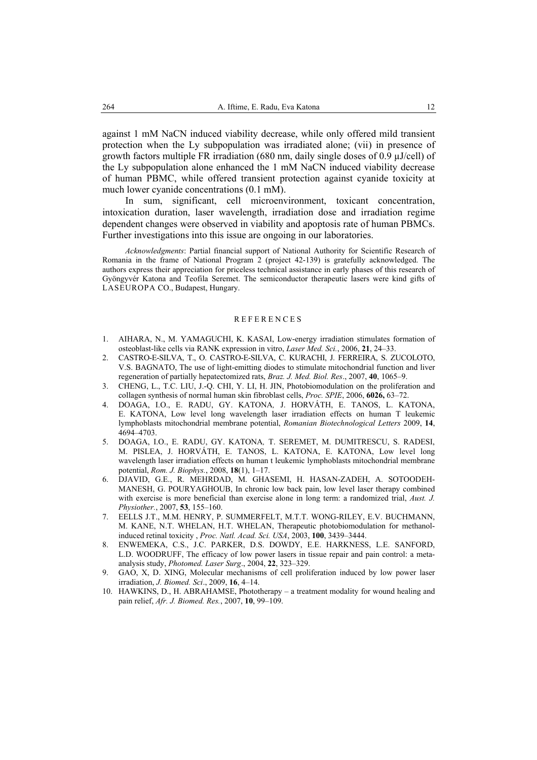against 1 mM NaCN induced viability decrease, while only offered mild transient protection when the Ly subpopulation was irradiated alone; (vii) in presence of growth factors multiple FR irradiation (680 nm, daily single doses of 0.9 µJ/cell) of the Ly subpopulation alone enhanced the 1 mM NaCN induced viability decrease of human PBMC, while offered transient protection against cyanide toxicity at much lower cyanide concentrations (0.1 mM).

In sum, significant, cell microenvironment, toxicant concentration, intoxication duration, laser wavelength, irradiation dose and irradiation regime dependent changes were observed in viability and apoptosis rate of human PBMCs. Further investigations into this issue are ongoing in our laboratories.

*Acknowledgments*: Partial financial support of National Authority for Scientific Research of Romania in the frame of National Program 2 (project 42-139) is gratefully acknowledged. The authors express their appreciation for priceless technical assistance in early phases of this research of Gyöngyvér Katona and Teofila Seremet. The semiconductor therapeutic lasers were kind gifts of LASEUROPA CO., Budapest, Hungary.

#### **REFERENCES**

- 1. AIHARA, N., M. YAMAGUCHI, K. KASAI, Low-energy irradiation stimulates formation of osteoblast-like cells via RANK expression in vitro, *Laser Med. Sci.*, 2006, **21**, 24–33.
- 2. CASTRO-E-SILVA, T., O. CASTRO-E-SILVA, C. KURACHI, J. FERREIRA, S. ZUCOLOTO, V.S. BAGNATO, The use of light-emitting diodes to stimulate mitochondrial function and liver regeneration of partially hepatectomized rats, *Braz. J. Med. Biol. Res*., 2007, **40**, 1065–9.
- 3. CHENG, L., T.C. LIU, J.-Q. CHI, Y. LI, H. JIN, Photobiomodulation on the proliferation and collagen synthesis of normal human skin fibroblast cells, *Proc. SPIE*, 2006, **6026,** 63–72.
- 4. DOAGA, I.O., E. RADU, GY. KATONA*,* J. HORVÁTH, E. TANOS, L. KATONA, E. KATONA, Low level long wavelength laser irradiation effects on human T leukemic lymphoblasts mitochondrial membrane potential, *Romanian Biotechnological Letters* 2009, **14**, 4694–4703.
- 5. DOAGA, I.O., E. RADU, GY. KATONA*,* T. SEREMET, M. DUMITRESCU, S. RADESI, M. PISLEA, J. HORVÁTH, E. TANOS, L. KATONA, E. KATONA, Low level long wavelength laser irradiation effects on human t leukemic lymphoblasts mitochondrial membrane potential, *Rom. J. Biophys.*, 2008, **18**(1), 1–17.
- 6. DJAVID, G.E., R. MEHRDAD, M. GHASEMI, H. HASAN-ZADEH, A. SOTOODEH-MANESH, G. POURYAGHOUB, In chronic low back pain, low level laser therapy combined with exercise is more beneficial than exercise alone in long term: a randomized trial, *Aust. J. Physiother.*, 2007, **53**, 155–160.
- 7. EELLS J.T., M.M. HENRY, P. SUMMERFELT, M.T.T. WONG-RILEY, E.V. BUCHMANN, M. KANE, N.T. WHELAN, H.T. WHELAN, Therapeutic photobiomodulation for methanolinduced retinal toxicity , *Proc. Natl. Acad. Sci. USA*, 2003, **100**, 3439–3444.
- 8. ENWEMEKA, C.S., J.C. PARKER, D.S. DOWDY, E.E. HARKNESS, L.E. SANFORD, L.D. WOODRUFF, The efficacy of low power lasers in tissue repair and pain control: a metaanalysis study, *Photomed. Laser Surg*., 2004, **22**, 323–329.
- 9. GAO, X, D. XING, Molecular mechanisms of cell proliferation induced by low power laser irradiation, *J. Biomed. Sci*., 2009, **16**, 4–14.
- 10. HAWKINS, D., H. ABRAHAMSE, Phototherapy a treatment modality for wound healing and pain relief, *Afr. J. Biomed. Res.*, 2007, **10**, 99–109.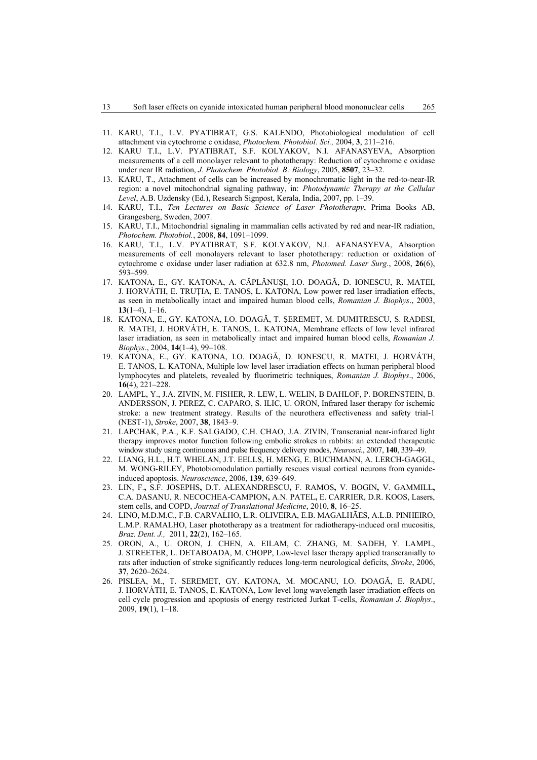- 11. KARU, T.I., L.V. PYATIBRAT, G.S. KALENDO, Photobiological modulation of cell attachment via cytochrome c oxidase, *Photochem. Photobiol. Sci.,* 2004, **3**, 211–216.
- 12. KARU T.I., L.V. PYATIBRAT, S.F. KOLYAKOV, N.I. AFANASYEVA, Absorption measurements of a cell monolayer relevant to phototherapy: Reduction of cytochrome c oxidase under near IR radiation, *J. Photochem. Photobiol. B: Biology*, 2005, **8507**, 23–32.
- 13. KARU, T., Attachment of cells can be increased by monochromatic light in the red-to-near-IR region: a novel mitochondrial signaling pathway, in: *Photodynamic Therapy at the Cellular Level*, A.B. Uzdensky (Ed.), Research Signpost, Kerala, India, 2007, pp. 1–39.
- 14. KARU, T.I., *Ten Lectures on Basic Science of Laser Phototherapy*, Prima Books AB, Grangesberg, Sweden, 2007.
- 15. KARU, T.I., Mitochondrial signaling in mammalian cells activated by red and near-IR radiation, *Photochem. Photobiol.*, 2008, **84**, 1091–1099.
- 16. KARU, T.I., L.V. PYATIBRAT, S.F. KOLYAKOV, N.I. AFANASYEVA, Absorption measurements of cell monolayers relevant to laser phototherapy: reduction or oxidation of cytochrome c oxidase under laser radiation at 632.8 nm, *Photomed. Laser Surg.*, 2008, **26**(6), 593–599.
- 17. KATONA, E., GY. KATONA, A. CĂPLĂNUŞI, I.O. DOAGĂ, D. IONESCU, R. MATEI, J. HORVÁTH, E. TRUŢIA, E. TANOS, L. KATONA, Low power red laser irradiation effects, as seen in metabolically intact and impaired human blood cells, *Romanian J. Biophys*., 2003, **13**(1–4), 1–16.
- 18. KATONA, E., GY. KATONA, I.O. DOAGĂ, T. ŞEREMET, M. DUMITRESCU, S. RADESI, R. MATEI, J. HORVÁTH, E. TANOS, L. KATONA, Membrane effects of low level infrared laser irradiation, as seen in metabolically intact and impaired human blood cells, *Romanian J. Biophys*., 2004, **14**(1–4), 99–108.
- 19. KATONA, E., GY. KATONA, I.O. DOAGĂ, D. IONESCU, R. MATEI, J. HORVÁTH, E. TANOS, L. KATONA, Multiple low level laser irradiation effects on human peripheral blood lymphocytes and platelets, revealed by fluorimetric techniques, *Romanian J. Biophys*., 2006, **16**(4), 221–228.
- 20. LAMPL, Y., J.A. ZIVIN, M. FISHER, R. LEW, L. WELIN, B DAHLOF, P. BORENSTEIN, B. ANDERSSON, J. PEREZ, C. CAPARO, S. ILIC, U. ORON, Infrared laser therapy for ischemic stroke: a new treatment strategy. Results of the neurothera effectiveness and safety trial-1 (NEST-1), *Stroke*, 2007, **38**, 1843–9.
- 21. LAPCHAK, P.A., K.F. SALGADO, C.H. CHAO, J.A. ZIVIN, Transcranial near-infrared light therapy improves motor function following embolic strokes in rabbits: an extended therapeutic window study using continuous and pulse frequency delivery modes, *Neurosci.*, 2007, **140**, 339–49.
- 22. LIANG, H.L., H.T. WHELAN, J.T. EELLS, H. MENG, E. BUCHMANN, A. LERCH-GAGGL, M. WONG-RILEY, Photobiomodulation partially rescues visual cortical neurons from cyanideinduced apoptosis. *Neuroscience*, 2006, **139**, 639–649.
- 23. LIN, F.**,** S.F. JOSEPHS**,** D.T. ALEXANDRESCU**,** F. RAMOS**,** V. BOGIN**,** V. GAMMILL**,**  C.A. DASANU, R. NECOCHEA-CAMPION**,** A.N. PATEL**,** E. CARRIER, D.R. KOOS, Lasers, stem cells, and COPD, *Journal of Translational Medicine*, 2010, **8**, 16–25.
- 24. LINO, M.D.M.C., F.B. CARVALHO, L.R. OLIVEIRA, E.B. MAGALHÃES, A.L.B. PINHEIRO, L.M.P. RAMALHO, Laser phototherapy as a treatment for radiotherapy-induced oral mucositis, *Braz. Dent. J.,* 2011, **22**(2), 162–165.
- 25. ORON, A., U. ORON, J. CHEN, A. EILAM, C. ZHANG, M. SADEH, Y. LAMPL, J. STREETER, L. DETABOADA, M. CHOPP, Low-level laser therapy applied transcranially to rats after induction of stroke significantly reduces long-term neurological deficits, *Stroke*, 2006, **37**, 2620–2624.
- 26. PISLEA, M., T. SEREMET, GY. KATONA, M. MOCANU, I.O. DOAGĂ, E. RADU, J. HORVÁTH, E. TANOS, E. KATONA, Low level long wavelength laser irradiation effects on cell cycle progression and apoptosis of energy restricted Jurkat T-cells, *Romanian J. Biophys*., 2009, **19**(1), 1–18.